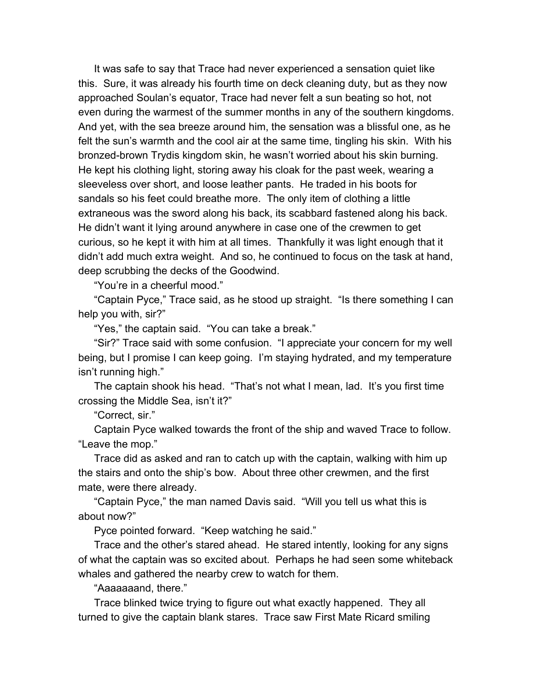It was safe to say that Trace had never experienced a sensation quiet like this. Sure, it was already his fourth time on deck cleaning duty, but as they now approached Soulan's equator, Trace had never felt a sun beating so hot, not even during the warmest of the summer months in any of the southern kingdoms. And yet, with the sea breeze around him, the sensation was a blissful one, as he felt the sun's warmth and the cool air at the same time, tingling his skin. With his bronzed-brown Trydis kingdom skin, he wasn't worried about his skin burning. He kept his clothing light, storing away his cloak for the past week, wearing a sleeveless over short, and loose leather pants. He traded in his boots for sandals so his feet could breathe more. The only item of clothing a little extraneous was the sword along his back, its scabbard fastened along his back. He didn't want it lying around anywhere in case one of the crewmen to get curious, so he kept it with him at all times. Thankfully it was light enough that it didn't add much extra weight. And so, he continued to focus on the task at hand, deep scrubbing the decks of the Goodwind.

"You're in a cheerful mood."

"Captain Pyce," Trace said, as he stood up straight. "Is there something I can help you with, sir?"

"Yes," the captain said. "You can take a break."

"Sir?" Trace said with some confusion. "I appreciate your concern for my well being, but I promise I can keep going. I'm staying hydrated, and my temperature isn't running high."

The captain shook his head. "That's not what I mean, lad. It's you first time crossing the Middle Sea, isn't it?"

"Correct, sir."

Captain Pyce walked towards the front of the ship and waved Trace to follow. "Leave the mop."

Trace did as asked and ran to catch up with the captain, walking with him up the stairs and onto the ship's bow. About three other crewmen, and the first mate, were there already.

"Captain Pyce," the man named Davis said. "Will you tell us what this is about now?"

Pyce pointed forward. "Keep watching he said."

Trace and the other's stared ahead. He stared intently, looking for any signs of what the captain was so excited about. Perhaps he had seen some whiteback whales and gathered the nearby crew to watch for them.

"Aaaaaaand, there."

Trace blinked twice trying to figure out what exactly happened. They all turned to give the captain blank stares. Trace saw First Mate Ricard smiling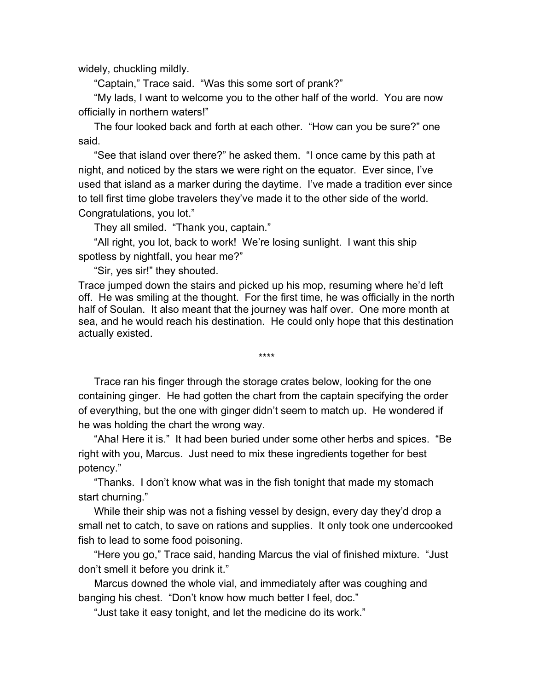widely, chuckling mildly.

"Captain," Trace said. "Was this some sort of prank?"

"My lads, I want to welcome you to the other half of the world. You are now officially in northern waters!"

The four looked back and forth at each other. "How can you be sure?" one said.

"See that island over there?" he asked them. "I once came by this path at night, and noticed by the stars we were right on the equator. Ever since, I've used that island as a marker during the daytime. I've made a tradition ever since to tell first time globe travelers they've made it to the other side of the world. Congratulations, you lot."

They all smiled. "Thank you, captain."

"All right, you lot, back to work! We're losing sunlight. I want this ship spotless by nightfall, you hear me?"

"Sir, yes sir!" they shouted.

Trace jumped down the stairs and picked up his mop, resuming where he'd left off. He was smiling at the thought. For the first time, he was officially in the north half of Soulan. It also meant that the journey was half over. One more month at sea, and he would reach his destination. He could only hope that this destination actually existed.

\*\*\*\*

Trace ran his finger through the storage crates below, looking for the one containing ginger. He had gotten the chart from the captain specifying the order of everything, but the one with ginger didn't seem to match up. He wondered if he was holding the chart the wrong way.

"Aha! Here it is." It had been buried under some other herbs and spices. "Be right with you, Marcus. Just need to mix these ingredients together for best potency."

"Thanks. I don't know what was in the fish tonight that made my stomach start churning."

While their ship was not a fishing vessel by design, every day they'd drop a small net to catch, to save on rations and supplies. It only took one undercooked fish to lead to some food poisoning.

"Here you go," Trace said, handing Marcus the vial of finished mixture. "Just don't smell it before you drink it."

Marcus downed the whole vial, and immediately after was coughing and banging his chest. "Don't know how much better I feel, doc."

"Just take it easy tonight, and let the medicine do its work."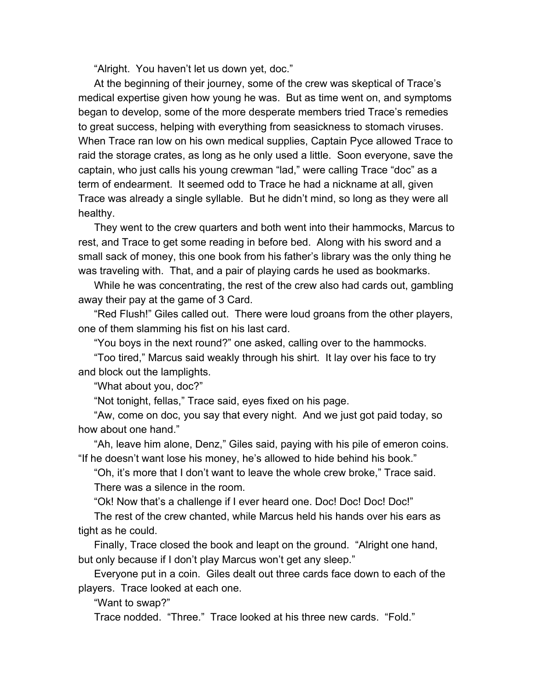"Alright. You haven't let us down yet, doc."

At the beginning of their journey, some of the crew was skeptical of Trace's medical expertise given how young he was. But as time went on, and symptoms began to develop, some of the more desperate members tried Trace's remedies to great success, helping with everything from seasickness to stomach viruses. When Trace ran low on his own medical supplies, Captain Pyce allowed Trace to raid the storage crates, as long as he only used a little. Soon everyone, save the captain, who just calls his young crewman "lad," were calling Trace "doc" as a term of endearment. It seemed odd to Trace he had a nickname at all, given Trace was already a single syllable. But he didn't mind, so long as they were all healthy.

They went to the crew quarters and both went into their hammocks, Marcus to rest, and Trace to get some reading in before bed. Along with his sword and a small sack of money, this one book from his father's library was the only thing he was traveling with. That, and a pair of playing cards he used as bookmarks.

While he was concentrating, the rest of the crew also had cards out, gambling away their pay at the game of 3 Card.

"Red Flush!" Giles called out. There were loud groans from the other players, one of them slamming his fist on his last card.

"You boys in the next round?" one asked, calling over to the hammocks.

"Too tired," Marcus said weakly through his shirt. It lay over his face to try and block out the lamplights.

"What about you, doc?"

"Not tonight, fellas," Trace said, eyes fixed on his page.

"Aw, come on doc, you say that every night. And we just got paid today, so how about one hand."

"Ah, leave him alone, Denz," Giles said, paying with his pile of emeron coins. "If he doesn't want lose his money, he's allowed to hide behind his book."

"Oh, it's more that I don't want to leave the whole crew broke," Trace said. There was a silence in the room.

"Ok! Now that's a challenge if I ever heard one. Doc! Doc! Doc! Doc!"

The rest of the crew chanted, while Marcus held his hands over his ears as tight as he could.

Finally, Trace closed the book and leapt on the ground. "Alright one hand, but only because if I don't play Marcus won't get any sleep."

Everyone put in a coin. Giles dealt out three cards face down to each of the players. Trace looked at each one.

"Want to swap?"

Trace nodded. "Three." Trace looked at his three new cards. "Fold."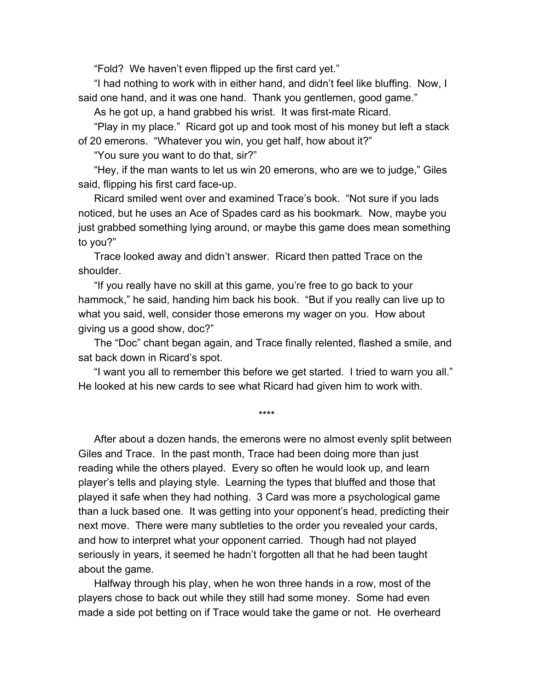"Fold? We haven't even flipped up the first card yet."

"I had nothing to work with in either hand, and didn't feel like bluffing. Now, I said one hand, and it was one hand. Thank you gentlemen, good game."

As he got up, a hand grabbed his wrist. It was first-mate Ricard.

"Play in my place." Ricard got up and took most of his money but left a stack of 20 emerons. "Whatever you win, you get half, how about it?"

"You sure you want to do that, sir?"

"Hey, if the man wants to let us win 20 emerons, who are we to judge," Giles said, flipping his first card face-up.

Ricard smiled went over and examined Trace's book. "Not sure if you lads noticed, but he uses an Ace of Spades card as his bookmark. Now, maybe you just grabbed something lying around, or maybe this game does mean something to you?"

Trace looked away and didn't answer. Ricard then patted Trace on the shoulder.

"If you really have no skill at this game, you're free to go back to your hammock," he said, handing him back his book. "But if you really can live up to what you said, well, consider those emerons my wager on you. How about giving us a good show, doc?"

The "Doc" chant began again, and Trace finally relented, flashed a smile, and sat back down in Ricard's spot.

"I want you all to remember this before we get started. I tried to warn you all." He looked at his new cards to see what Ricard had given him to work with.

\*\*\*\*

After about a dozen hands, the emerons were no almost evenly split between Giles and Trace. In the past month, Trace had been doing more than just reading while the others played. Every so often he would look up, and learn player's tells and playing style. Learning the types that bluffed and those that played it safe when they had nothing. 3 Card was more a psychological game than a luck based one. It was getting into your opponent's head, predicting their next move. There were many subtleties to the order you revealed your cards, and how to interpret what your opponent carried. Though had not played seriously in years, it seemed he hadn't forgotten all that he had been taught about the game.

Halfway through his play, when he won three hands in a row, most of the players chose to back out while they still had some money. Some had even made a side pot betting on if Trace would take the game or not. He overheard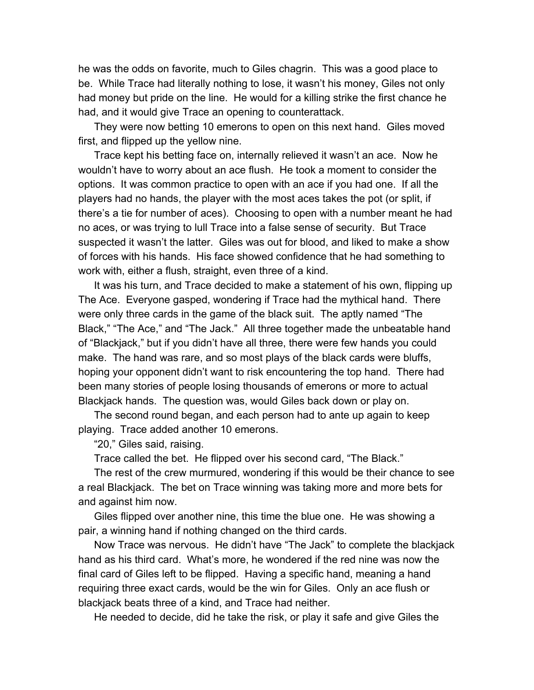he was the odds on favorite, much to Giles chagrin. This was a good place to be. While Trace had literally nothing to lose, it wasn't his money, Giles not only had money but pride on the line. He would for a killing strike the first chance he had, and it would give Trace an opening to counterattack.

They were now betting 10 emerons to open on this next hand. Giles moved first, and flipped up the yellow nine.

Trace kept his betting face on, internally relieved it wasn't an ace. Now he wouldn't have to worry about an ace flush. He took a moment to consider the options. It was common practice to open with an ace if you had one. If all the players had no hands, the player with the most aces takes the pot (or split, if there's a tie for number of aces). Choosing to open with a number meant he had no aces, or was trying to lull Trace into a false sense of security. But Trace suspected it wasn't the latter. Giles was out for blood, and liked to make a show of forces with his hands. His face showed confidence that he had something to work with, either a flush, straight, even three of a kind.

It was his turn, and Trace decided to make a statement of his own, flipping up The Ace. Everyone gasped, wondering if Trace had the mythical hand. There were only three cards in the game of the black suit. The aptly named "The Black," "The Ace," and "The Jack." All three together made the unbeatable hand of "Blackjack," but if you didn't have all three, there were few hands you could make. The hand was rare, and so most plays of the black cards were bluffs, hoping your opponent didn't want to risk encountering the top hand. There had been many stories of people losing thousands of emerons or more to actual Blackjack hands. The question was, would Giles back down or play on.

The second round began, and each person had to ante up again to keep playing. Trace added another 10 emerons.

"20," Giles said, raising.

Trace called the bet. He flipped over his second card, "The Black."

The rest of the crew murmured, wondering if this would be their chance to see a real Blackjack. The bet on Trace winning was taking more and more bets for and against him now.

Giles flipped over another nine, this time the blue one. He was showing a pair, a winning hand if nothing changed on the third cards.

Now Trace was nervous. He didn't have "The Jack" to complete the blackjack hand as his third card. What's more, he wondered if the red nine was now the final card of Giles left to be flipped. Having a specific hand, meaning a hand requiring three exact cards, would be the win for Giles. Only an ace flush or blackjack beats three of a kind, and Trace had neither.

He needed to decide, did he take the risk, or play it safe and give Giles the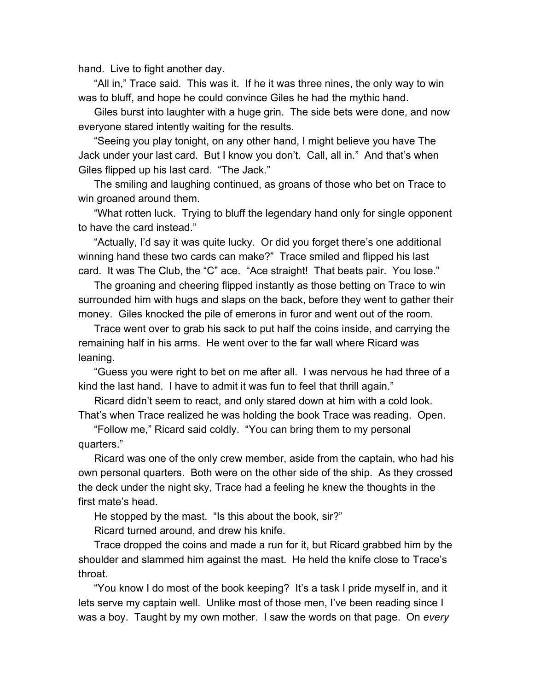hand. Live to fight another day.

"All in," Trace said. This was it. If he it was three nines, the only way to win was to bluff, and hope he could convince Giles he had the mythic hand.

Giles burst into laughter with a huge grin. The side bets were done, and now everyone stared intently waiting for the results.

"Seeing you play tonight, on any other hand, I might believe you have The Jack under your last card. But I know you don't. Call, all in." And that's when Giles flipped up his last card. "The Jack."

The smiling and laughing continued, as groans of those who bet on Trace to win groaned around them.

"What rotten luck. Trying to bluff the legendary hand only for single opponent to have the card instead."

"Actually, I'd say it was quite lucky. Or did you forget there's one additional winning hand these two cards can make?" Trace smiled and flipped his last card. It was The Club, the "C" ace. "Ace straight! That beats pair. You lose."

The groaning and cheering flipped instantly as those betting on Trace to win surrounded him with hugs and slaps on the back, before they went to gather their money. Giles knocked the pile of emerons in furor and went out of the room.

Trace went over to grab his sack to put half the coins inside, and carrying the remaining half in his arms. He went over to the far wall where Ricard was leaning.

"Guess you were right to bet on me after all. I was nervous he had three of a kind the last hand. I have to admit it was fun to feel that thrill again."

Ricard didn't seem to react, and only stared down at him with a cold look. That's when Trace realized he was holding the book Trace was reading. Open.

"Follow me," Ricard said coldly. "You can bring them to my personal quarters."

Ricard was one of the only crew member, aside from the captain, who had his own personal quarters. Both were on the other side of the ship. As they crossed the deck under the night sky, Trace had a feeling he knew the thoughts in the first mate's head.

He stopped by the mast. "Is this about the book, sir?"

Ricard turned around, and drew his knife.

Trace dropped the coins and made a run for it, but Ricard grabbed him by the shoulder and slammed him against the mast. He held the knife close to Trace's throat.

"You know I do most of the book keeping? It's a task I pride myself in, and it lets serve my captain well. Unlike most of those men, I've been reading since I was a boy. Taught by my own mother. I saw the words on that page. On *every*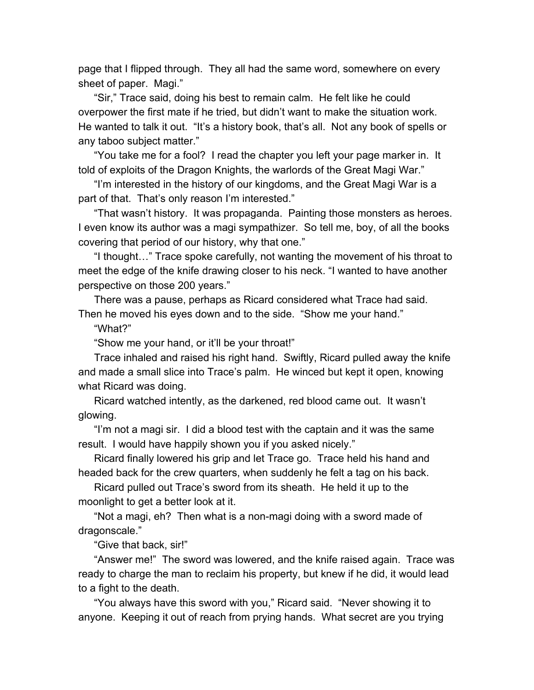page that I flipped through. They all had the same word, somewhere on every sheet of paper. Magi."

"Sir," Trace said, doing his best to remain calm. He felt like he could overpower the first mate if he tried, but didn't want to make the situation work. He wanted to talk it out. "It's a history book, that's all. Not any book of spells or any taboo subject matter."

"You take me for a fool? I read the chapter you left your page marker in. It told of exploits of the Dragon Knights, the warlords of the Great Magi War."

"I'm interested in the history of our kingdoms, and the Great Magi War is a part of that. That's only reason I'm interested."

"That wasn't history. It was propaganda. Painting those monsters as heroes. I even know its author was a magi sympathizer. So tell me, boy, of all the books covering that period of our history, why that one."

"I thought…" Trace spoke carefully, not wanting the movement of his throat to meet the edge of the knife drawing closer to his neck. "I wanted to have another perspective on those 200 years."

There was a pause, perhaps as Ricard considered what Trace had said. Then he moved his eyes down and to the side. "Show me your hand."

"What?"

"Show me your hand, or it'll be your throat!"

Trace inhaled and raised his right hand. Swiftly, Ricard pulled away the knife and made a small slice into Trace's palm. He winced but kept it open, knowing what Ricard was doing.

Ricard watched intently, as the darkened, red blood came out. It wasn't glowing.

"I'm not a magi sir. I did a blood test with the captain and it was the same result. I would have happily shown you if you asked nicely."

Ricard finally lowered his grip and let Trace go. Trace held his hand and headed back for the crew quarters, when suddenly he felt a tag on his back.

Ricard pulled out Trace's sword from its sheath. He held it up to the moonlight to get a better look at it.

"Not a magi, eh? Then what is a non-magi doing with a sword made of dragonscale."

"Give that back, sir!"

"Answer me!" The sword was lowered, and the knife raised again. Trace was ready to charge the man to reclaim his property, but knew if he did, it would lead to a fight to the death.

"You always have this sword with you," Ricard said. "Never showing it to anyone. Keeping it out of reach from prying hands. What secret are you trying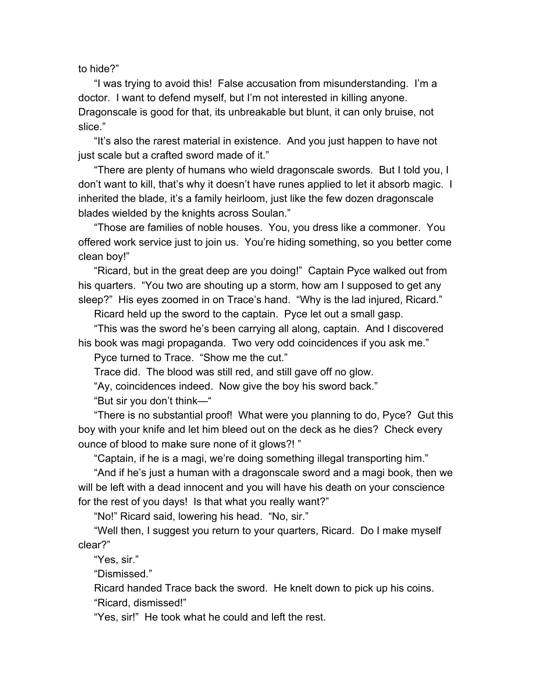to hide?"

"I was trying to avoid this! False accusation from misunderstanding. I'm a doctor. I want to defend myself, but I'm not interested in killing anyone. Dragonscale is good for that, its unbreakable but blunt, it can only bruise, not slice."

"It's also the rarest material in existence. And you just happen to have not just scale but a crafted sword made of it."

"There are plenty of humans who wield dragonscale swords. But I told you, I don't want to kill, that's why it doesn't have runes applied to let it absorb magic. I inherited the blade, it's a family heirloom, just like the few dozen dragonscale blades wielded by the knights across Soulan."

"Those are families of noble houses. You, you dress like a commoner. You offered work service just to join us. You're hiding something, so you better come clean boy!"

"Ricard, but in the great deep are you doing!" Captain Pyce walked out from his quarters. "You two are shouting up a storm, how am I supposed to get any sleep?" His eyes zoomed in on Trace's hand. "Why is the lad injured, Ricard."

Ricard held up the sword to the captain. Pyce let out a small gasp.

"This was the sword he's been carrying all along, captain. And I discovered his book was magi propaganda. Two very odd coincidences if you ask me."

Pyce turned to Trace. "Show me the cut."

Trace did. The blood was still red, and still gave off no glow.

"Ay, coincidences indeed. Now give the boy his sword back."

"But sir you don't think—"

"There is no substantial proof! What were you planning to do, Pyce? Gut this boy with your knife and let him bleed out on the deck as he dies? Check every ounce of blood to make sure none of it glows?! "

"Captain, if he is a magi, we're doing something illegal transporting him."

"And if he's just a human with a dragonscale sword and a magi book, then we will be left with a dead innocent and you will have his death on your conscience for the rest of you days! Is that what you really want?"

"No!" Ricard said, lowering his head. "No, sir."

"Well then, I suggest you return to your quarters, Ricard. Do I make myself clear?"

"Yes, sir."

"Dismissed."

Ricard handed Trace back the sword. He knelt down to pick up his coins. "Ricard, dismissed!"

"Yes, sir!" He took what he could and left the rest.